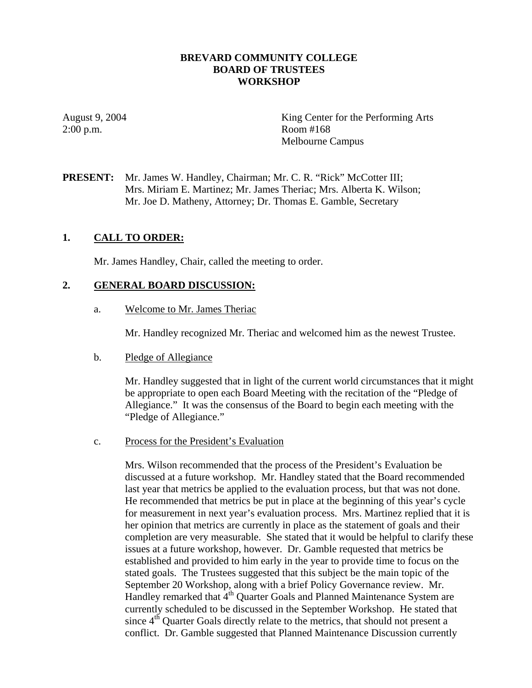#### **BREVARD COMMUNITY COLLEGE BOARD OF TRUSTEES WORKSHOP**

2:00 p.m. Room #168

August 9, 2004 King Center for the Performing Arts Melbourne Campus

**PRESENT:** Mr. James W. Handley, Chairman; Mr. C. R. "Rick" McCotter III; Mrs. Miriam E. Martinez; Mr. James Theriac; Mrs. Alberta K. Wilson; Mr. Joe D. Matheny, Attorney; Dr. Thomas E. Gamble, Secretary

#### **1. CALL TO ORDER:**

Mr. James Handley, Chair, called the meeting to order.

#### **2. GENERAL BOARD DISCUSSION:**

a. Welcome to Mr. James Theriac

Mr. Handley recognized Mr. Theriac and welcomed him as the newest Trustee.

b. Pledge of Allegiance

Mr. Handley suggested that in light of the current world circumstances that it might be appropriate to open each Board Meeting with the recitation of the "Pledge of Allegiance." It was the consensus of the Board to begin each meeting with the "Pledge of Allegiance."

c. Process for the President's Evaluation

Mrs. Wilson recommended that the process of the President's Evaluation be discussed at a future workshop. Mr. Handley stated that the Board recommended last year that metrics be applied to the evaluation process, but that was not done. He recommended that metrics be put in place at the beginning of this year's cycle for measurement in next year's evaluation process. Mrs. Martinez replied that it is her opinion that metrics are currently in place as the statement of goals and their completion are very measurable. She stated that it would be helpful to clarify these issues at a future workshop, however. Dr. Gamble requested that metrics be established and provided to him early in the year to provide time to focus on the stated goals. The Trustees suggested that this subject be the main topic of the September 20 Workshop, along with a brief Policy Governance review. Mr. Handley remarked that  $4<sup>th</sup>$  Quarter Goals and Planned Maintenance System are currently scheduled to be discussed in the September Workshop. He stated that since  $4<sup>th</sup>$  Quarter Goals directly relate to the metrics, that should not present a conflict. Dr. Gamble suggested that Planned Maintenance Discussion currently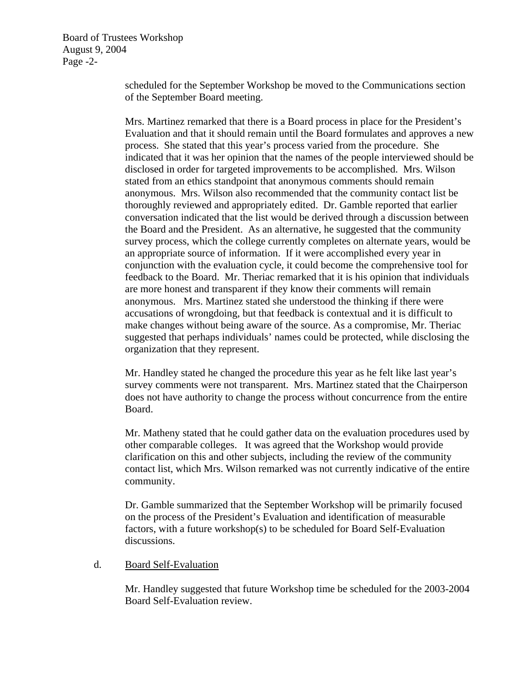Board of Trustees Workshop August 9, 2004 Page -2-

> scheduled for the September Workshop be moved to the Communications section of the September Board meeting.

Mrs. Martinez remarked that there is a Board process in place for the President's Evaluation and that it should remain until the Board formulates and approves a new process. She stated that this year's process varied from the procedure. She indicated that it was her opinion that the names of the people interviewed should be disclosed in order for targeted improvements to be accomplished. Mrs. Wilson stated from an ethics standpoint that anonymous comments should remain anonymous. Mrs. Wilson also recommended that the community contact list be thoroughly reviewed and appropriately edited. Dr. Gamble reported that earlier conversation indicated that the list would be derived through a discussion between the Board and the President. As an alternative, he suggested that the community survey process, which the college currently completes on alternate years, would be an appropriate source of information. If it were accomplished every year in conjunction with the evaluation cycle, it could become the comprehensive tool for feedback to the Board. Mr. Theriac remarked that it is his opinion that individuals are more honest and transparent if they know their comments will remain anonymous. Mrs. Martinez stated she understood the thinking if there were accusations of wrongdoing, but that feedback is contextual and it is difficult to make changes without being aware of the source. As a compromise, Mr. Theriac suggested that perhaps individuals' names could be protected, while disclosing the organization that they represent.

Mr. Handley stated he changed the procedure this year as he felt like last year's survey comments were not transparent. Mrs. Martinez stated that the Chairperson does not have authority to change the process without concurrence from the entire Board.

Mr. Matheny stated that he could gather data on the evaluation procedures used by other comparable colleges. It was agreed that the Workshop would provide clarification on this and other subjects, including the review of the community contact list, which Mrs. Wilson remarked was not currently indicative of the entire community.

Dr. Gamble summarized that the September Workshop will be primarily focused on the process of the President's Evaluation and identification of measurable factors, with a future workshop(s) to be scheduled for Board Self-Evaluation discussions.

### d. Board Self-Evaluation

Mr. Handley suggested that future Workshop time be scheduled for the 2003-2004 Board Self-Evaluation review.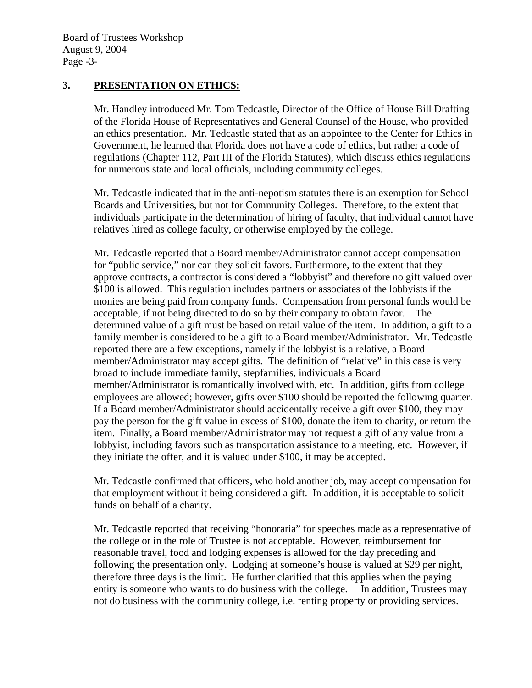### **3. PRESENTATION ON ETHICS:**

Mr. Handley introduced Mr. Tom Tedcastle, Director of the Office of House Bill Drafting of the Florida House of Representatives and General Counsel of the House, who provided an ethics presentation. Mr. Tedcastle stated that as an appointee to the Center for Ethics in Government, he learned that Florida does not have a code of ethics, but rather a code of regulations (Chapter 112, Part III of the Florida Statutes), which discuss ethics regulations for numerous state and local officials, including community colleges.

Mr. Tedcastle indicated that in the anti-nepotism statutes there is an exemption for School Boards and Universities, but not for Community Colleges. Therefore, to the extent that individuals participate in the determination of hiring of faculty, that individual cannot have relatives hired as college faculty, or otherwise employed by the college.

Mr. Tedcastle reported that a Board member/Administrator cannot accept compensation for "public service," nor can they solicit favors. Furthermore, to the extent that they approve contracts, a contractor is considered a "lobbyist" and therefore no gift valued over \$100 is allowed. This regulation includes partners or associates of the lobbyists if the monies are being paid from company funds. Compensation from personal funds would be acceptable, if not being directed to do so by their company to obtain favor. The determined value of a gift must be based on retail value of the item. In addition, a gift to a family member is considered to be a gift to a Board member/Administrator. Mr. Tedcastle reported there are a few exceptions, namely if the lobbyist is a relative, a Board member/Administrator may accept gifts. The definition of "relative" in this case is very broad to include immediate family, stepfamilies, individuals a Board member/Administrator is romantically involved with, etc. In addition, gifts from college employees are allowed; however, gifts over \$100 should be reported the following quarter. If a Board member/Administrator should accidentally receive a gift over \$100, they may pay the person for the gift value in excess of \$100, donate the item to charity, or return the item. Finally, a Board member/Administrator may not request a gift of any value from a lobbyist, including favors such as transportation assistance to a meeting, etc. However, if they initiate the offer, and it is valued under \$100, it may be accepted.

Mr. Tedcastle confirmed that officers, who hold another job, may accept compensation for that employment without it being considered a gift. In addition, it is acceptable to solicit funds on behalf of a charity.

Mr. Tedcastle reported that receiving "honoraria" for speeches made as a representative of the college or in the role of Trustee is not acceptable. However, reimbursement for reasonable travel, food and lodging expenses is allowed for the day preceding and following the presentation only. Lodging at someone's house is valued at \$29 per night, therefore three days is the limit. He further clarified that this applies when the paying entity is someone who wants to do business with the college. In addition, Trustees may not do business with the community college, i.e. renting property or providing services.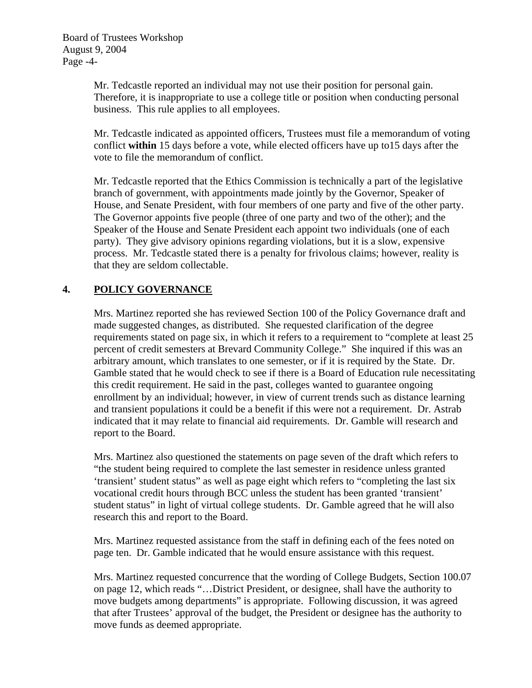Mr. Tedcastle reported an individual may not use their position for personal gain. Therefore, it is inappropriate to use a college title or position when conducting personal business. This rule applies to all employees.

Mr. Tedcastle indicated as appointed officers, Trustees must file a memorandum of voting conflict **within** 15 days before a vote, while elected officers have up to15 days after the vote to file the memorandum of conflict.

Mr. Tedcastle reported that the Ethics Commission is technically a part of the legislative branch of government, with appointments made jointly by the Governor, Speaker of House, and Senate President, with four members of one party and five of the other party. The Governor appoints five people (three of one party and two of the other); and the Speaker of the House and Senate President each appoint two individuals (one of each party). They give advisory opinions regarding violations, but it is a slow, expensive process. Mr. Tedcastle stated there is a penalty for frivolous claims; however, reality is that they are seldom collectable.

# **4. POLICY GOVERNANCE**

Mrs. Martinez reported she has reviewed Section 100 of the Policy Governance draft and made suggested changes, as distributed. She requested clarification of the degree requirements stated on page six, in which it refers to a requirement to "complete at least 25 percent of credit semesters at Brevard Community College." She inquired if this was an arbitrary amount, which translates to one semester, or if it is required by the State. Dr. Gamble stated that he would check to see if there is a Board of Education rule necessitating this credit requirement. He said in the past, colleges wanted to guarantee ongoing enrollment by an individual; however, in view of current trends such as distance learning and transient populations it could be a benefit if this were not a requirement. Dr. Astrab indicated that it may relate to financial aid requirements. Dr. Gamble will research and report to the Board.

Mrs. Martinez also questioned the statements on page seven of the draft which refers to "the student being required to complete the last semester in residence unless granted 'transient' student status" as well as page eight which refers to "completing the last six vocational credit hours through BCC unless the student has been granted 'transient' student status" in light of virtual college students. Dr. Gamble agreed that he will also research this and report to the Board.

Mrs. Martinez requested assistance from the staff in defining each of the fees noted on page ten. Dr. Gamble indicated that he would ensure assistance with this request.

Mrs. Martinez requested concurrence that the wording of College Budgets, Section 100.07 on page 12, which reads "…District President, or designee, shall have the authority to move budgets among departments" is appropriate. Following discussion, it was agreed that after Trustees' approval of the budget, the President or designee has the authority to move funds as deemed appropriate.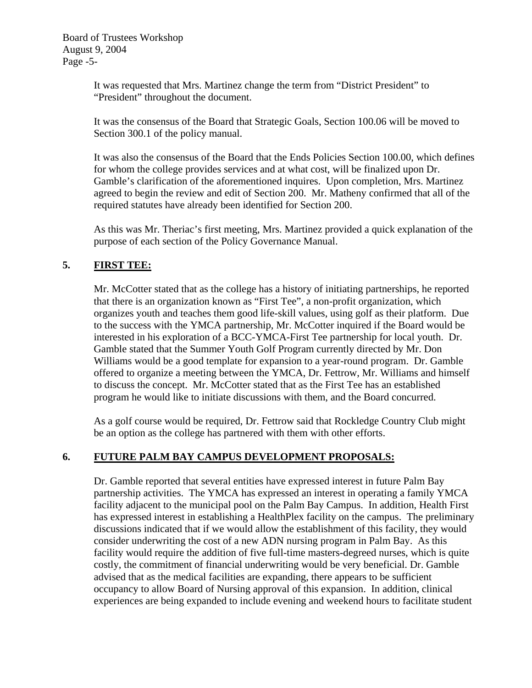Board of Trustees Workshop August 9, 2004 Page -5-

> It was requested that Mrs. Martinez change the term from "District President" to "President" throughout the document.

It was the consensus of the Board that Strategic Goals, Section 100.06 will be moved to Section 300.1 of the policy manual.

It was also the consensus of the Board that the Ends Policies Section 100.00, which defines for whom the college provides services and at what cost, will be finalized upon Dr. Gamble's clarification of the aforementioned inquires. Upon completion, Mrs. Martinez agreed to begin the review and edit of Section 200. Mr. Matheny confirmed that all of the required statutes have already been identified for Section 200.

As this was Mr. Theriac's first meeting, Mrs. Martinez provided a quick explanation of the purpose of each section of the Policy Governance Manual.

## **5. FIRST TEE:**

Mr. McCotter stated that as the college has a history of initiating partnerships, he reported that there is an organization known as "First Tee", a non-profit organization, which organizes youth and teaches them good life-skill values, using golf as their platform. Due to the success with the YMCA partnership, Mr. McCotter inquired if the Board would be interested in his exploration of a BCC-YMCA-First Tee partnership for local youth. Dr. Gamble stated that the Summer Youth Golf Program currently directed by Mr. Don Williams would be a good template for expansion to a year-round program. Dr. Gamble offered to organize a meeting between the YMCA, Dr. Fettrow, Mr. Williams and himself to discuss the concept. Mr. McCotter stated that as the First Tee has an established program he would like to initiate discussions with them, and the Board concurred.

As a golf course would be required, Dr. Fettrow said that Rockledge Country Club might be an option as the college has partnered with them with other efforts.

## **6. FUTURE PALM BAY CAMPUS DEVELOPMENT PROPOSALS:**

Dr. Gamble reported that several entities have expressed interest in future Palm Bay partnership activities. The YMCA has expressed an interest in operating a family YMCA facility adjacent to the municipal pool on the Palm Bay Campus. In addition, Health First has expressed interest in establishing a HealthPlex facility on the campus. The preliminary discussions indicated that if we would allow the establishment of this facility, they would consider underwriting the cost of a new ADN nursing program in Palm Bay. As this facility would require the addition of five full-time masters-degreed nurses, which is quite costly, the commitment of financial underwriting would be very beneficial. Dr. Gamble advised that as the medical facilities are expanding, there appears to be sufficient occupancy to allow Board of Nursing approval of this expansion. In addition, clinical experiences are being expanded to include evening and weekend hours to facilitate student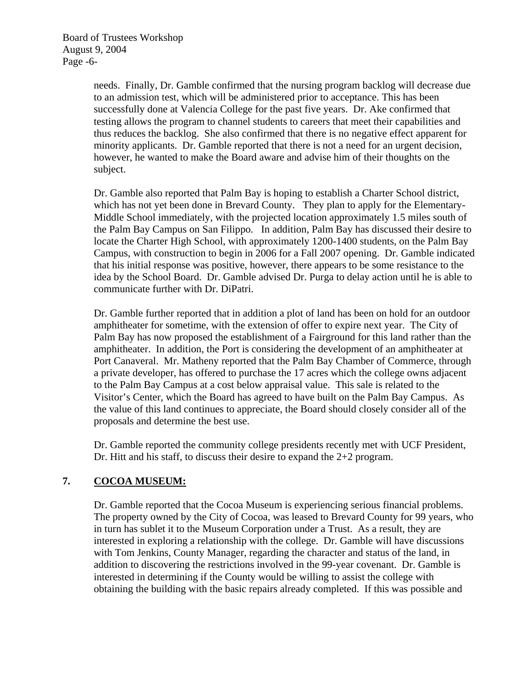Board of Trustees Workshop August 9, 2004 Page -6-

> needs. Finally, Dr. Gamble confirmed that the nursing program backlog will decrease due to an admission test, which will be administered prior to acceptance. This has been successfully done at Valencia College for the past five years. Dr. Ake confirmed that testing allows the program to channel students to careers that meet their capabilities and thus reduces the backlog. She also confirmed that there is no negative effect apparent for minority applicants. Dr. Gamble reported that there is not a need for an urgent decision, however, he wanted to make the Board aware and advise him of their thoughts on the subject.

Dr. Gamble also reported that Palm Bay is hoping to establish a Charter School district, which has not yet been done in Brevard County. They plan to apply for the Elementary-Middle School immediately, with the projected location approximately 1.5 miles south of the Palm Bay Campus on San Filippo. In addition, Palm Bay has discussed their desire to locate the Charter High School, with approximately 1200-1400 students, on the Palm Bay Campus, with construction to begin in 2006 for a Fall 2007 opening. Dr. Gamble indicated that his initial response was positive, however, there appears to be some resistance to the idea by the School Board. Dr. Gamble advised Dr. Purga to delay action until he is able to communicate further with Dr. DiPatri.

Dr. Gamble further reported that in addition a plot of land has been on hold for an outdoor amphitheater for sometime, with the extension of offer to expire next year. The City of Palm Bay has now proposed the establishment of a Fairground for this land rather than the amphitheater. In addition, the Port is considering the development of an amphitheater at Port Canaveral. Mr. Matheny reported that the Palm Bay Chamber of Commerce, through a private developer, has offered to purchase the 17 acres which the college owns adjacent to the Palm Bay Campus at a cost below appraisal value. This sale is related to the Visitor's Center, which the Board has agreed to have built on the Palm Bay Campus. As the value of this land continues to appreciate, the Board should closely consider all of the proposals and determine the best use.

Dr. Gamble reported the community college presidents recently met with UCF President, Dr. Hitt and his staff, to discuss their desire to expand the 2+2 program.

# **7. COCOA MUSEUM:**

Dr. Gamble reported that the Cocoa Museum is experiencing serious financial problems. The property owned by the City of Cocoa, was leased to Brevard County for 99 years, who in turn has sublet it to the Museum Corporation under a Trust. As a result, they are interested in exploring a relationship with the college. Dr. Gamble will have discussions with Tom Jenkins, County Manager, regarding the character and status of the land, in addition to discovering the restrictions involved in the 99-year covenant. Dr. Gamble is interested in determining if the County would be willing to assist the college with obtaining the building with the basic repairs already completed. If this was possible and